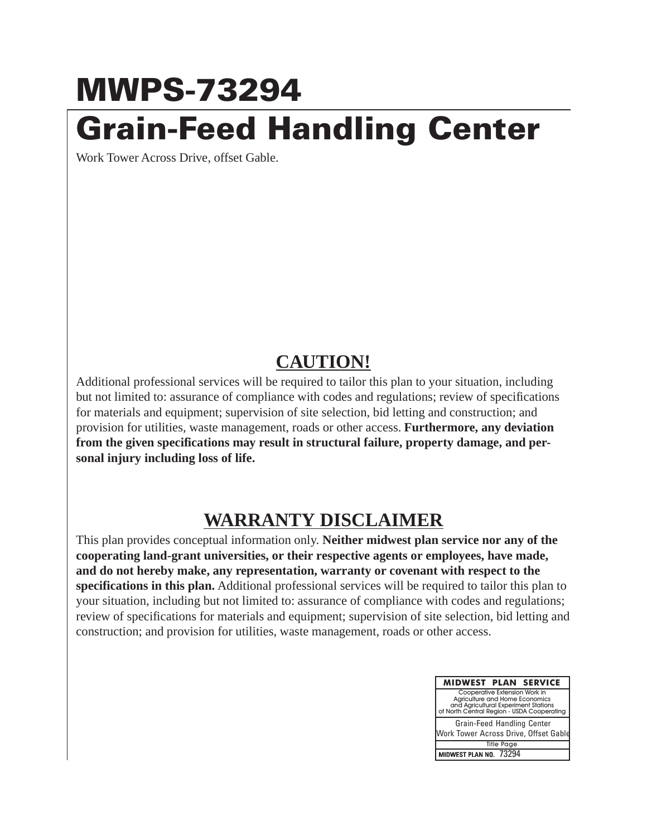## **MWPS-73294 Grain-Feed Handling Center**

Work Tower Across Drive, offset Gable.

## **CAUTION!**

Additional professional services will be required to tailor this plan to your situation, including but not limited to: assurance of compliance with codes and regulations; review of specifications for materials and equipment; supervision of site selection, bid letting and construction; and provision for utilities, waste management, roads or other access. **Furthermore, any deviation from the given specifications may result in structural failure, property damage, and personal injury including loss of life.**

## **WARRANTY DISCLAIMER**

This plan provides conceptual information only. **Neither midwest plan service nor any of the cooperating land-grant universities, or their respective agents or employees, have made, and do not hereby make, any representation, warranty or covenant with respect to the specifications in this plan.** Additional professional services will be required to tailor this plan to your situation, including but not limited to: assurance of compliance with codes and regulations; review of specifications for materials and equipment; supervision of site selection, bid letting and construction; and provision for utilities, waste management, roads or other access.

| MIDWEST PLAN SERVICE                                                                                                                                  |  |  |  |  |  |  |  |  |  |  |  |
|-------------------------------------------------------------------------------------------------------------------------------------------------------|--|--|--|--|--|--|--|--|--|--|--|
| Cooperative Extension Work in<br>Agriculture and Home Economics<br>and Agricultural Experiment Stations<br>of North Central Region - USDA Cooperating |  |  |  |  |  |  |  |  |  |  |  |
| Grain-Feed Handling Center<br>Work Tower Across Drive, Offset Gable                                                                                   |  |  |  |  |  |  |  |  |  |  |  |
| <b>Title Page</b>                                                                                                                                     |  |  |  |  |  |  |  |  |  |  |  |
| MIDWEST PLAN NO. 73294                                                                                                                                |  |  |  |  |  |  |  |  |  |  |  |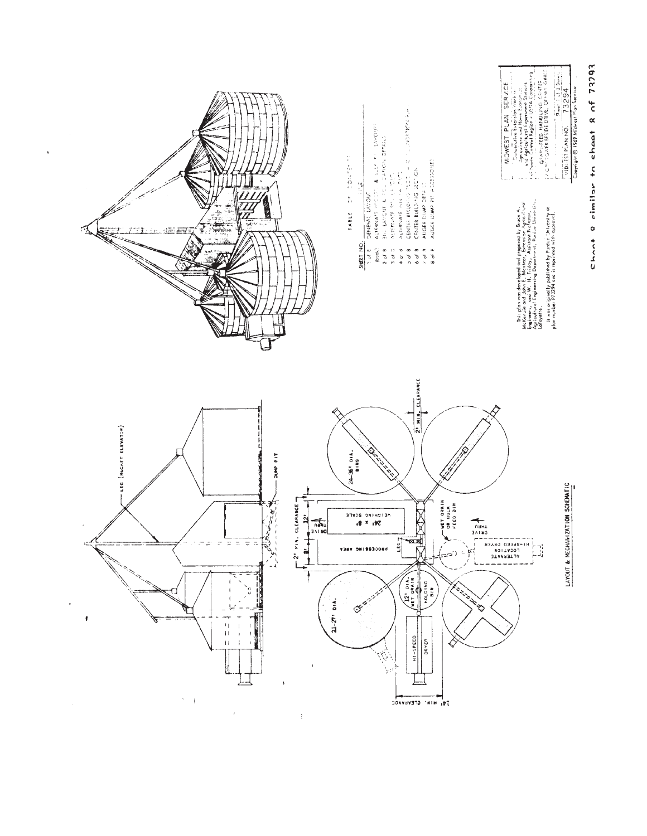

 $\bar{\phantom{a}}$ 

l,

## $cn_{n+2}$  eimilar to cheet  $8$  of  $73293$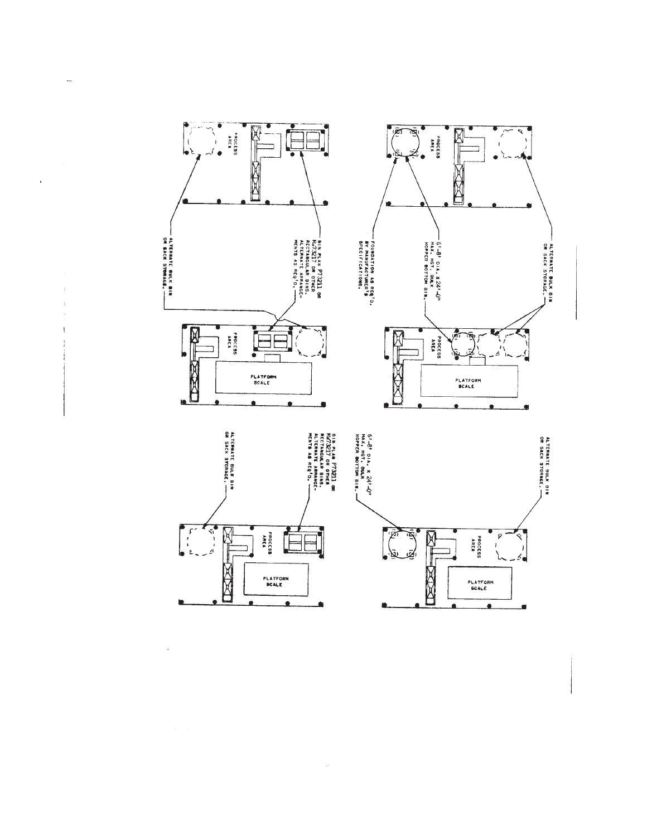

 $\ddot{\phantom{a}}$ 

 $\mathcal{L}$ 

 $\pm$ 

 $\mathbf{I}$ 

**CRADE**  $\bullet$ 

ó

 $\blacksquare$ 

 $\omega$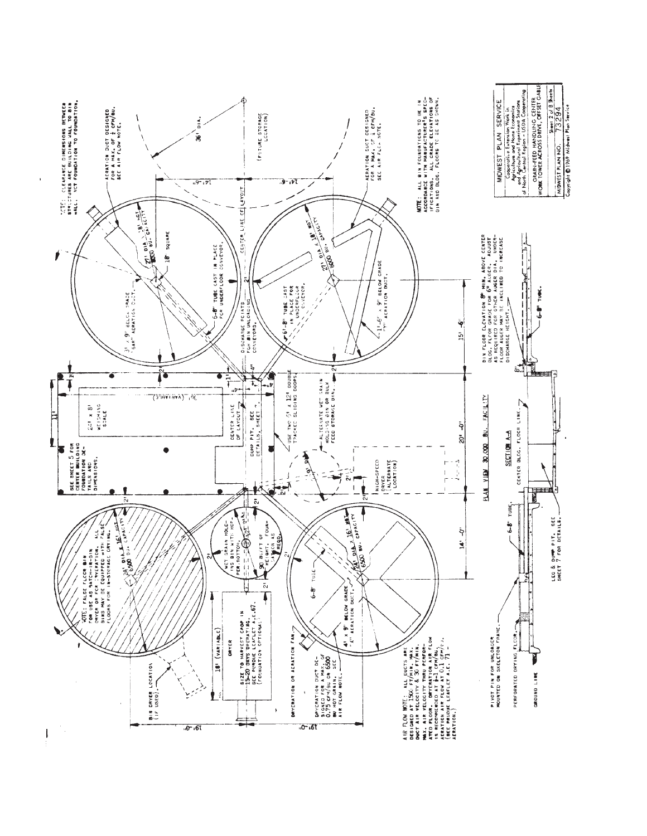![](_page_3_Figure_0.jpeg)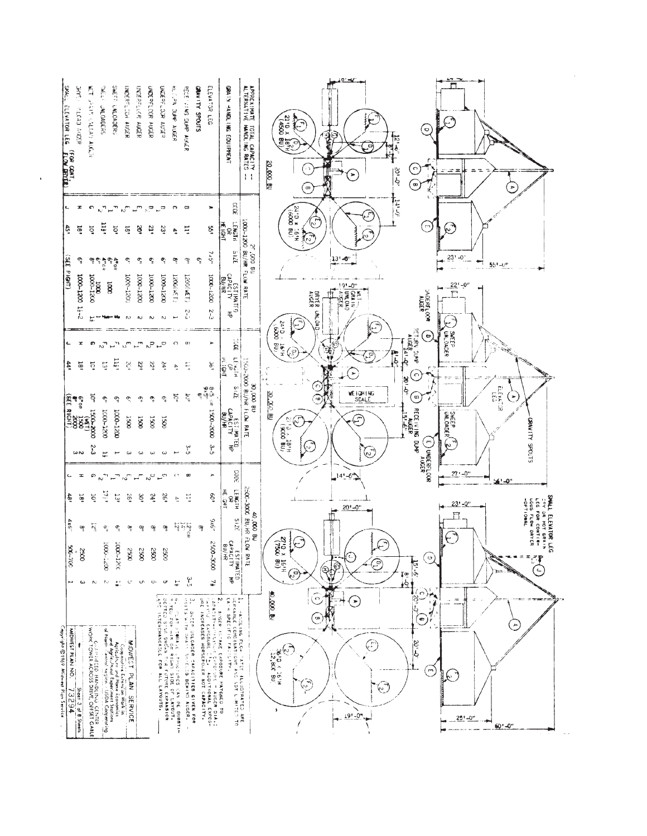| <b>SPAL</b><br><b>GYYS</b><br>ндей скопч<br>ELEVATOR LEG<br><b>FLOW DRYCEL</b>                | ñ<br><b>SAN CROUN STAND</b>                                                           | <b>SWEE</b><br><b>UNLOAGERS</b> | SWEFT-<br><b>LNLOADERS</b>                                                                                                                                                                                                | UNDERFLOOK AUSER            | UNDERFLUCK AUGER                                             | UNDERFLOOR AUGER | DNDERFLOOR AUSER                                                                                                                                                              | RECAN DUFF AUGER     | RECEIVING SOME ACADE                                                                                                   | ELEVATOR LEG<br>GRAVITY SPOUTS                                                                                                                                                                                                       | CRAIN HANDLING<br>EN SHENEN!                                                                                  | APPROXIMATE<br>ALTERNATIVE<br>TOTAL CAPACITY<br>HANDLING RATES<br>$\pm$ | <u>o v</u><br>п<br>2110 x<br>( - 1<br>$\epsilon$<br>E<br>$\mathbf{\hat{v}}$<br>$\frac{12}{3}$<br>$\epsilon$<br>-9<br>$\frac{1}{\sqrt{2}}$<br>М<br>20.000.8U<br>$\odot$<br>$\mathbf{P}$<br>$-9.1$<br>-≍ ≖<br>ᅲ<br>×<br>◉<br>€<br>Þ                                                                                                                                                                                                                                            |
|-----------------------------------------------------------------------------------------------|---------------------------------------------------------------------------------------|---------------------------------|---------------------------------------------------------------------------------------------------------------------------------------------------------------------------------------------------------------------------|-----------------------------|--------------------------------------------------------------|------------------|-------------------------------------------------------------------------------------------------------------------------------------------------------------------------------|----------------------|------------------------------------------------------------------------------------------------------------------------|--------------------------------------------------------------------------------------------------------------------------------------------------------------------------------------------------------------------------------------|---------------------------------------------------------------------------------------------------------------|-------------------------------------------------------------------------|------------------------------------------------------------------------------------------------------------------------------------------------------------------------------------------------------------------------------------------------------------------------------------------------------------------------------------------------------------------------------------------------------------------------------------------------------------------------------|
| z                                                                                             | $\bullet$                                                                             | $\kappa^2$                      | $\mathbb{Z}^n$                                                                                                                                                                                                            | $\mathcal{L}^{\mathcal{T}}$ | $\mathbb{L}^m$                                               | ి                | $\mathbb{Z}_{\mathbb{Z}_4}$                                                                                                                                                   | $\sim$               | g                                                                                                                      | ×                                                                                                                                                                                                                                    | COL                                                                                                           |                                                                         | میں<br>پار                                                                                                                                                                                                                                                                                                                                                                                                                                                                   |
| ę,<br>'g                                                                                      | ğ                                                                                     | 11f                             | ğ                                                                                                                                                                                                                         | $\tilde{\mathbf{e}}$        | ø,                                                           | 21.              | 23                                                                                                                                                                            | ÷                    | Ε                                                                                                                      | ξp                                                                                                                                                                                                                                   | <b>HEIGHT</b>                                                                                                 |                                                                         | 24.0 x 16.0<br>24.0 x 16.14<br>$\mathbb{C}$<br>⊙<br>$\mathbb{C}$<br>$\widehat{\mathcal{C}}$                                                                                                                                                                                                                                                                                                                                                                                  |
| 33S<br>្ទុ                                                                                    |                                                                                       | ۾ ڇپو ڇپو<br>چ                  |                                                                                                                                                                                                                           | ې                           | $\sigma_{\!\!\scriptscriptstyle 2}^{\!\scriptscriptstyle 2}$ | يە               | ې                                                                                                                                                                             | ဇာ့                  | က္ခ                                                                                                                    | 7.5''<br>ې                                                                                                                                                                                                                           | 3715                                                                                                          | ్లు<br>18 000                                                           | $23 - 0$<br>$13' - 0$<br>÷,<br>₩                                                                                                                                                                                                                                                                                                                                                                                                                                             |
| <b>PIGAT)</b>                                                                                 |                                                                                       |                                 |                                                                                                                                                                                                                           |                             |                                                              |                  |                                                                                                                                                                               |                      |                                                                                                                        |                                                                                                                                                                                                                                      |                                                                                                               | LOOD-1200 BU/HR FLUW RATE                                               | $55! - 0"$<br>$22' - 0''$<br>$191 - 0$ "                                                                                                                                                                                                                                                                                                                                                                                                                                     |
| 1000-1200                                                                                     | 0021-0001<br>0001                                                                     | $\overline{5}$                  |                                                                                                                                                                                                                           | 1000-1200                   | 1000-1200                                                    | 1000-1200        | 0021-0001                                                                                                                                                                     | 13M)00CT             | (LDM)002T                                                                                                              | 1000-1200                                                                                                                                                                                                                            | ESTIMATED<br>CAPACITY HP<br>CAPACITY HP                                                                       |                                                                         | $\begin{array}{c}\n\hline\n\text{135} \\ \hline\n\text{145} \\ \hline\n\text{156} \\ \hline\n\text{156} \\ \hline\n\text{156} \\ \hline\n\text{156} \\ \hline\n\text{156} \\ \hline\n\text{156} \\ \hline\n\text{156} \\ \hline\n\text{156} \\ \hline\n\text{156} \\ \hline\n\text{156} \\ \hline\n\text{156} \\ \hline\n\text{156} \\ \hline\n\text{156} \\ \hline\n\text{156} \\ \hline\n\text{156} \\ \hline\n\text{1$<br><b>JADERELOOR</b><br><b>ALGER</b><br>Alger<br>Щ |
| $17 - 2$                                                                                      |                                                                                       |                                 |                                                                                                                                                                                                                           | $\mathbb{N}$                | $\sim$                                                       | $\sim$           |                                                                                                                                                                               |                      | رم<br>د ج                                                                                                              | ζ-2                                                                                                                                                                                                                                  |                                                                                                               |                                                                         | <b>UNLOAD</b><br>$\widehat{\epsilon}$<br>IC.                                                                                                                                                                                                                                                                                                                                                                                                                                 |
| ×                                                                                             | <b>D</b>                                                                              | నా                              | $\sigma_{\rm tot}$                                                                                                                                                                                                        | $\mathcal{S}^{\mathsf{m}}$  | $\mathbb{R}^m$                                               | ನೆ               | $\sigma_{\rightarrow}$                                                                                                                                                        | $\circ$              | $\mathbf{u}$                                                                                                           | $\mathbf{r}$                                                                                                                                                                                                                         | ୁ<br>ଅ                                                                                                        |                                                                         | 2410 x 01611<br><b>ALUADA DURA</b><br>Э<br><b>SWEEP</b><br>SWEEP<br>Ç<br>٦<br>6<br>b<br>(학                                                                                                                                                                                                                                                                                                                                                                                   |
| igr<br>ą,                                                                                     | $\tilde{\mathbf{e}}$                                                                  | $\mathbb{S}^1$                  | $11\frac{1}{2}$                                                                                                                                                                                                           | $\tilde{\mathcal{S}}$       | 22'                                                          | $\overline{3}$   | ia.                                                                                                                                                                           | $\vec{v}$            | Ę                                                                                                                      | ğ                                                                                                                                                                                                                                    | LEisth<br>GP<br>HO.                                                                                           |                                                                         | مان<br>أ⊲<br>$\odot$<br>$\circ$                                                                                                                                                                                                                                                                                                                                                                                                                                              |
|                                                                                               | 1Ò°                                                                                   | ę                               | ଦ୍                                                                                                                                                                                                                        | $\overline{Q}$              | ې                                                            | è                | ୍ର                                                                                                                                                                            | ਨ੍                   | दू                                                                                                                     | ၀မ်<br>၁၉၁၉<br>၁၉၁၉                                                                                                                                                                                                                  | 2125                                                                                                          | OO BU/NR FLOW RATE                                                      | 20'O"<br>ြ<br>$\begin{bmatrix} 51 \\ 51 \\ 51 \end{bmatrix}$<br>WEIGHING<br>SCALE<br>30. XO<br>۵<br>٩<br>٤                                                                                                                                                                                                                                                                                                                                                                   |
| 107 1500-2000<br>6705 1500<br>6705 1500<br>(SEE RIGHT)                                        |                                                                                       | 000-1500                        | 1000-1200                                                                                                                                                                                                                 | <b>1500</b>                 | <b>S</b>                                                     | 1500             | 1500                                                                                                                                                                          |                      |                                                                                                                        | 2005-2006                                                                                                                                                                                                                            | र्डे                                                                                                          |                                                                         | UNEEP<br>罔<br>$\widehat{\mathbb{C}}$<br>$\mathcal{C}$                                                                                                                                                                                                                                                                                                                                                                                                                        |
|                                                                                               |                                                                                       |                                 |                                                                                                                                                                                                                           |                             |                                                              |                  |                                                                                                                                                                               |                      |                                                                                                                        |                                                                                                                                                                                                                                      | CAPACINATED<br>CAPACINATED                                                                                    |                                                                         | RECE IV ING DUNP<br>AUGER<br>AUGER<br>$\times$ 18 <sup>14</sup><br>$\times$ 0.008 BU/<br><b>STUGE YTIVARD</b><br>$\mathbb{Q}$<br>'n                                                                                                                                                                                                                                                                                                                                          |
| $\omega$ N                                                                                    | 2-3                                                                                   | 분                               |                                                                                                                                                                                                                           | $\omega$                    | $\omega$                                                     | $\omega$         | $\omega$                                                                                                                                                                      |                      | ىپ<br>تا                                                                                                               | $\mathfrak{F}$                                                                                                                                                                                                                       |                                                                                                               |                                                                         | E UNDERFLOOR<br>$\bigodot$                                                                                                                                                                                                                                                                                                                                                                                                                                                   |
| $\equiv$<br>ے                                                                                 | ာ                                                                                     | $\sim$ <sup>71</sup>            | 군                                                                                                                                                                                                                         | $\sim$ $\sim$               | $\mathbf{r}^{\mathbf{r}}$                                    | $\sim^{\circ}$   | $\mathbb{Z}^{\mathfrak{S}}$                                                                                                                                                   | <b>CY</b>            | œ                                                                                                                      | $\,$                                                                                                                                                                                                                                 | CODE                                                                                                          |                                                                         | $27 - 0$ "<br>$14 - 6$<br>561-0"                                                                                                                                                                                                                                                                                                                                                                                                                                             |
| ई<br>i81                                                                                      | ğ                                                                                     | $\mathcal{D}^{(1)}$             | ្ចុ                                                                                                                                                                                                                       | $65\,$                      | $\widetilde{\infty}$                                         | $\mathbf{r}$     | 26                                                                                                                                                                            | $\frac{1}{\sqrt{2}}$ | 토                                                                                                                      | 50 <sub>1</sub>                                                                                                                                                                                                                      | <b>HEISHE</b><br>ROBOTHE                                                                                      | 2500-3000                                                               | $23 - 0$ "<br>$20 - 0$ "                                                                                                                                                                                                                                                                                                                                                                                                                                                     |
| 4x6<br>ထွ                                                                                     | $\tilde{\mathbf{z}}$                                                                  | $\sigma$                        | ¢                                                                                                                                                                                                                         | œ                           | ဇွ                                                           | ي                | 멜                                                                                                                                                                             |                      | $\frac{12}{15} \frac{\epsilon}{2} \epsilon$                                                                            | 9×6"<br>ၛၜႍ                                                                                                                                                                                                                          | 3135                                                                                                          | 40,000 BU<br>BU/HR                                                      | <b>SNALL ELEVITOR LEG</b><br>LEG FOR CONTIN-<br>LEG FOR CONTIN-<br>LEG FOR CONTIN-<br>JOPTIONAL<br>JOPTIONAL<br>$\curvearrowright$                                                                                                                                                                                                                                                                                                                                           |
| 001-005<br>2500                                                                               |                                                                                       | 1000-2200                       | 1000-1200                                                                                                                                                                                                                 | 2590                        | 3500                                                         | 880              | 2500                                                                                                                                                                          |                      |                                                                                                                        | 0006-0052                                                                                                                                                                                                                            | ESTIMATED<br>CAPACITY HP<br>BU/HR                                                                             | FLOW RATE                                                               | [C<br>$\approx$<br>€<br>$\sigma$                                                                                                                                                                                                                                                                                                                                                                                                                                             |
| $\boldsymbol{\omega}$<br>ы                                                                    | $\sim$                                                                                | $\mathcal{D} \mathcal{Q}$       | 髭                                                                                                                                                                                                                         | $\mathbf{C}$                | S                                                            | $\mathbf{Q}$     | ç                                                                                                                                                                             | 븞                    | $\int_{\Omega}$                                                                                                        | 74                                                                                                                                                                                                                                   |                                                                                                               |                                                                         | $\widehat{\mathfrak{S}}$<br>$-6 - 6$<br>$\begin{picture}(40,40) \put(0,0){\line(1,0){155}} \put(0,0){\line(1,0){155}} \put(0,0){\line(1,0){155}} \put(0,0){\line(1,0){155}} \put(0,0){\line(1,0){155}} \put(0,0){\line(1,0){155}} \put(0,0){\line(1,0){155}} \put(0,0){\line(1,0){155}} \put(0,0){\line(1,0){155}} \put(0,0){\line(1,0){155}} \put(0,0){\line(1,0){155}} \put(0,0){\line(1$<br>ς<br>☺<br>ъ<br>្រ<br>រួត្ន                                                    |
| Cepyright ©1969 Midwest Plan Service<br>MIDWEST PLAN NO.<br>¢<br>73294<br>Sheet 3 of 8 Sheets | <b>WORK TOWER ACROSS DRIVE, OFFSET GABLE</b><br>WORK TOWER ACROSS DRIVE, OFFSET GABLE |                                 | Cosperative Extension Work in Application and the Extension Work in Appliculture and the Economics<br>Appliculture and these Economics<br>on Appliculture (segment Stations)<br>of North Cornel (segment USDA Cooperating | MOWEST PLAN SERVICE         |                                                              |                  | 4. Puat Starale itoviciones da re Substructure<br>Corteo Sins Budar Pia Puat Caracter (Arabitat<br>Corteo Sins Budar Pia Purpe Expansion<br>Aprilitedenangale For All Layouts |                      | $\ddot{\phantom{0}}$<br>CARNE WITH CHAPT<br>SAEED UNLOADER CAPACITIES GIVEN FOR<br>IS WITH GMAIN SHIEGOS BENING AUGER. | 2, arden n.rake ekposunt Mathelp To<br>Caractic Caroline (1990) - algorithment exposition of the state of the state of the state of the state of the<br>Caroline Caroline (1990) - algorithment exposition of the state of the state | l. Pavoling Flow Pater Hiudomaated ARE<br>Scraable Compirations Ayo ADT Limited To<br>EATH SPECIFIC FACILITY. |                                                                         | $\odot$ n<br>000.00<br>$0 - 25$<br>ಾ <b>ರಾಜ</b> ನಂ<br>Ξ<br>$\blacksquare$<br>۷.<br>٣<br>$\left[ \bullet \right]$<br>۸<br>$\frac{20!-0}{2}$<br>€<br>$\frac{2}{3610}$ x 161H<br>€<br>$\mathbb{R}^3$<br>في<br>-4<br>$\widetilde{\mathscr{C}}$<br>$191 - 07$<br>$25 - 0$ "<br>÷<br>÷<br>$60' -0$ "                                                                                                                                                                               |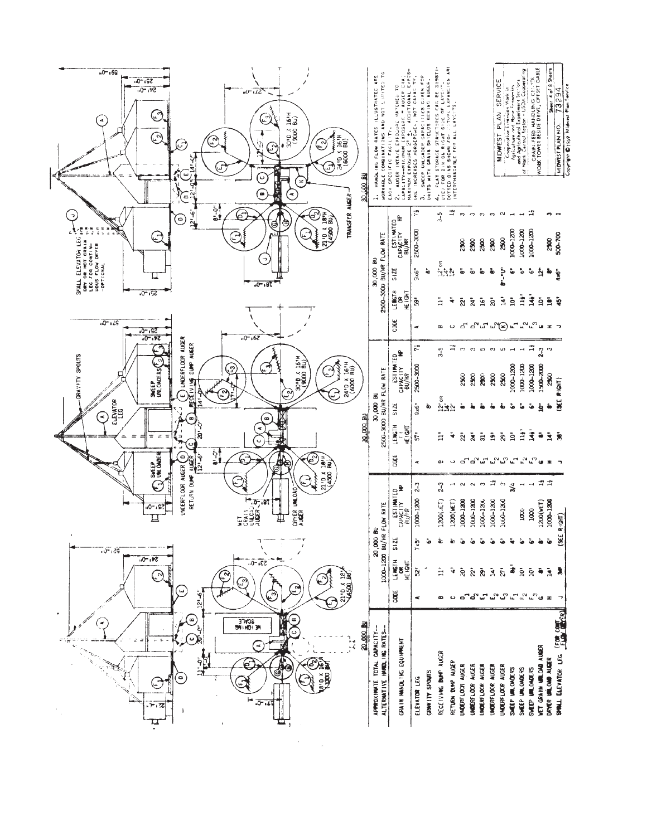| "0" <sub>•</sub> 69<br>$52. -0.$<br>$54. -0.$<br>$\mathbf{F}$<br>$\mathfrak{D}$<br>G<br>헥<br>پ<br>$\infty$<br>$2^{1.6}$<br>ြ<br>SMALL ELEVATOR LEG $\frac{1}{10}$<br>only on mot grain $\frac{1}{10}$<br>i.eg for continue<br>€<br><b>UDUS FLOW DRYER</b><br>$-0P$ TICKAL<br>$321 - 0.$ | 12<br>3010 X 161H<br>្នុង<br>ក្នុង<br>$\epsilon$<br>$\mathcal{E}$<br>أج<br>(6000<br>24.6<br>Э<br>E<br>င<br><b>RIOCATION</b><br>×<br>一部 いい<br>$\widehat{\bullet}$<br>$\triangleleft$<br>TRANSFER AUGER<br>م<br>ما<br>67<br>ල<br>⊚<br>§<br>$\mathfrak{t}$<br>চ. এট | ARE<br>WORKABLE COMBINATIONS AND NOT LISTED<br>HANGLING FLOW RATES ILLUSTRATED<br>2500-3000 BU/HR FLOW RATE<br>30,000 BU | CAPACITY--MIRRONDM EXPOSURE = AUGER DIA;<br>MAXIMUM EXPOSURE 2 <sup>9</sup> ±. ADDITIONAL EXPOS-<br>P<br>AUGER INTACE EXPOSURE MATCHED<br>EACH SPECIFIC FACILITY.<br>d<br>CAPACITY<br>CAPACITY HP<br>BU/HR<br>512E | SWEEP UNLCADER CAPACITIES GIVEN FOR<br>URE INCREASES HORSEPOWER, NOT CAPACTY.<br>UNITS WITH GRAIN SHIELOS BEHING AUGEN.<br>$\overline{\mathbb{C}}^n$<br>2500-3000<br>$9\times 6$<br>ەة | UTED FOR DIN ON RIGAT SIDE OF LAYCIT."<br>DOTTED BINS SHOWN FOR TUTURE EXPANSION ARE<br>INTERCHANGABLE FOR ALL LAYCITS.<br>FLAT STORAGE STRUCTURES CAN BE SUBSTI<br>$\stackrel{\rightarrow}{\rightarrow}$<br>$\frac{5}{2}$<br>ិ<br>ក្នុងស្ព | $m$ $m$<br>2500<br>ౚఀ                                                | $\mathbf{c}_2$<br>2500<br>2500<br>ão<br>စ်                                                                                            | $\boldsymbol{\mathrm{c}}$<br>2300<br>ã,                                     | MIDWEST PLAN SERVICE<br>Cooperative Extension Work in<br>Agriculture and Home Franchies<br>$\sim$<br>88<br>Ņ | and Agricultural Experiment Sterions<br>of Narth Central Region - USDA Cooperating<br>1000-1200<br>1000-1200<br>$\mathbf{\hat{e}}$<br>÷ | GRAIN-FEED HANDLING CENTER<br>WORK TOWER BESIDE DRIVE, OFFSET GABLE<br>1000-1200<br>ق | 88<br>à,<br>ł,                                                                                      | Sheets<br>MIDWEST PLAN NO. 73294<br>Coorish O1069 Midwest Plan Swrice<br>500-700<br>ing. |
|-----------------------------------------------------------------------------------------------------------------------------------------------------------------------------------------------------------------------------------------------------------------------------------------|------------------------------------------------------------------------------------------------------------------------------------------------------------------------------------------------------------------------------------------------------------------|--------------------------------------------------------------------------------------------------------------------------|--------------------------------------------------------------------------------------------------------------------------------------------------------------------------------------------------------------------|----------------------------------------------------------------------------------------------------------------------------------------------------------------------------------------|---------------------------------------------------------------------------------------------------------------------------------------------------------------------------------------------------------------------------------------------|----------------------------------------------------------------------|---------------------------------------------------------------------------------------------------------------------------------------|-----------------------------------------------------------------------------|--------------------------------------------------------------------------------------------------------------|-----------------------------------------------------------------------------------------------------------------------------------------|---------------------------------------------------------------------------------------|-----------------------------------------------------------------------------------------------------|------------------------------------------------------------------------------------------|
| $-0 - 15$<br>$52 - 0.$<br>$34. -0.$<br>UNDERFLOOR AUGER<br><b>RECEIVING DUMP AUGER</b><br>GRAVITY SPOUTS<br>SWEEP<br>UNLOADERS<br>やこ<br>سأ<br>ELEVATOR<br>LEG<br>⋖<br>œ<br>্র<br>÷<br>$\bar{\omega}$<br>$\frac{1}{\pi}$<br>ပ<br>SWEEP<br>UNLOWDER<br>Ξ<br>نې<br>2•ا2ا                   | $-0.67$<br><b>M.D.X 1614</b><br>$24^{10}$ X 16 <sup>1</sup> H<br>(6000 BU)<br>ශ<br>٣<br>$\mathbf{S}$<br>لون<br>30,000 BU<br>œ<br>$\circ$<br>ام<br>ما<br>ு                                                                                                        | 2500-3000 BU/HR FLOW RATE<br>30,000 BU                                                                                   | LENGTH<br>HE IGHT<br>ğ<br>CAPACITY NP<br>CAPACITY NP<br>BU/HR<br>S1ZE<br>LENGTH<br>HEIGHT<br><b>SOOL</b>                                                                                                           | 59<br>ĸ<br>$\ddot{r}$<br>2500-3000<br>9x6<br>Ġ,<br>$\bar{5}$<br>¢                                                                                                                      | $\tilde{=}$<br>÷<br>$\circ$<br>B<br>₩<br>9-9<br>$12^{\circ}$ oR<br>$4\bar{c}$<br>$\frac{1}{11}$<br>₹<br>œ<br>$\ddot{\phantom{0}}$                                                                                                           | $\mathbf{\tilde{z}}$<br>$\sim$<br>2500<br>هٔ<br>$\mathbf{\tilde{z}}$ | $\ddot{16}$<br>$\mathbf{a}$<br>చెల్లో "∨్రాడ్డ్"<br>ന ഹ<br>2500<br>$\tilde{z}$<br>$\frac{1}{5}$<br>$\tilde{\bm{z}}$<br>దేదిచే         | $\bar{8}$<br>$\infty$<br>2300<br>ă<br>$\frac{5}{11}$                        | $\mathbf{\hat{z}}$<br>ທ<br>2500<br>i.<br>$\bar{\mathbb{R}}$<br>ຟິພິ                                          | È<br>$\mathbf{\dot{p}}$<br>1000-1200<br>1000-1200<br>å,<br>å,<br>$\mathbf{H}$<br>ġ<br>「「ん」                                              | $\mathbf{H}^*$<br>雪<br>1000-1200<br>قة<br>İ<br>చి                                     | $\mathbf{\dot{q}}$<br>$\ddot{=}$<br>$2 - 3$<br>S<br>1500-2000<br>30<br>Š<br>ė,<br>õ<br>$\mathbb{R}$ | ত্ব<br>$R(0+T)$<br>ä<br>$\ddot{\bm{x}}$                                                  |
| RETURN DUNP AUGER<br>UNDERFLOOR AUGER<br>$\mathfrak S$<br>92، ~0،،<br>Ц<br>$-0 - 29$<br>$54. -0.$<br>$\sim$<br>فعا<br>$121 - 6$<br>⊛<br>$\ddot{\phantom{0}}$<br><b>PLAN</b><br>(⊖)                                                                                                      | 4500<br>ē<br>DRYER UNLOAD<br>19T<br>o-<br>្ម<br>៖ ម្ដុំ<br>Щ<br>$53. -0.$<br>$\mathcal{E}_t$<br>21'0 x 18'<br>سي<br>ر<br>س<br>ë<br><b>BUALE</b><br>20,000 BL<br>٦.<br>الأو<br>್ರ<br>٦.<br>ئا<br>4<br>ਵੰ<br>G                                                     | FLOW RATE<br>2<br>1000-1200 вы/на<br>20,000<br>CAPACITY-<br>ALTERNATIVE HANDLING RATES-<br><b>TOTAL</b><br>APPROXIMATE   | <b>ESTIMATED</b><br>CAPACITY MP<br>RU/HR<br>S12E<br><b>LENGTH</b><br>HE LGHT<br><b>SOOT</b><br>GRAIN HANDLING EQUAPMENT                                                                                            | $2 - 3$<br>1000-1200<br>$7 \times 5$<br>Ğ,<br>និ<br>œ<br>GRAVITY SPONTS<br>ELEVATOR LEG                                                                                                | $\mathfrak{z}$<br>1200(.ET)<br>1200(WET)<br>å.<br>ã.<br>ã<br>ч<br>œ<br>RECEIVING DUMP AUGER<br>RETURN DUMP AUGER                                                                                                                            | 1000-1200<br>قة<br>ė<br>UNDERFLOOR AUGER                             | $\mathbf{e}$<br>$\sim$<br>1000-1200<br>1006-1200<br>ٷ<br>قة<br>ā<br>និ<br>$\mathbf{s}^2$<br>ت<br>UNDERFLOOR AUGER<br>UNDERFLOOR AUGER | 芦<br>1000-1200<br>Ã<br>$\mathbf{u}^{\mathbf{v}}$<br><b>UNDERFLOOR AUGER</b> | $\leftrightarrow$<br>1000-1200<br>ίζ.<br>وس<br>س<br>UNDERFLOOR AUGER                                         | 3/4<br>$\overline{\phantom{a}}$<br>1000<br>ず<br>$\frac{5}{2}$<br>$\mathbf{r}$<br>SWEEP UNLOADERS<br>SWEEP UNLOADERS                     | $\overline{\phantom{a}}$<br>1000<br>$\frac{5}{2}$<br>్ద్య<br>SWEEP UMLOWDERS          | 쿸<br>雪<br>1000-1200<br>1200(WET)<br>å,<br>ã<br><b>WET GRAIN URLOAD AUGER</b><br>DRYER UNLOAD AUGER  | R(GH)<br>(SE<br>SMALL ELEVATOR LEG <sup>(FOR CONT.</sup> )                               |

 $\label{eq:2.1} \frac{1}{\sqrt{2\pi}}\int_{0}^{\infty}\frac{1}{\sqrt{2\pi}}\left(\frac{1}{\sqrt{2\pi}}\right)^{2\pi} \frac{1}{\sqrt{2\pi}}\int_{0}^{\infty}\frac{1}{\sqrt{2\pi}}\left(\frac{1}{\sqrt{2\pi}}\right)^{2\pi}\frac{1}{\sqrt{2\pi}}\frac{1}{\sqrt{2\pi}}\int_{0}^{\infty}\frac{1}{\sqrt{2\pi}}\frac{1}{\sqrt{2\pi}}\frac{1}{\sqrt{2\pi}}\frac{1}{\sqrt{2\pi}}\frac{1}{\sqrt{2\pi}}\frac{1}{\sqrt{2$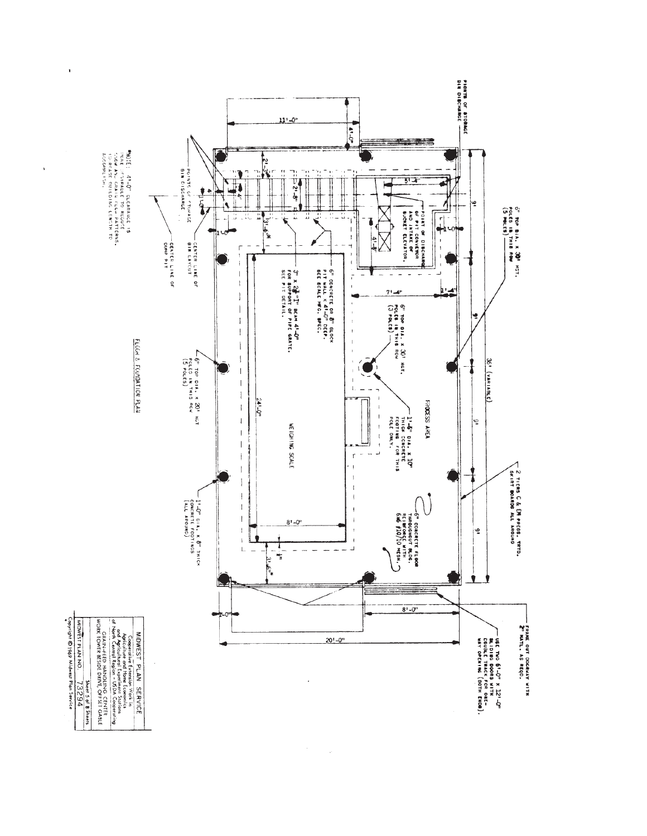![](_page_6_Figure_0.jpeg)

ï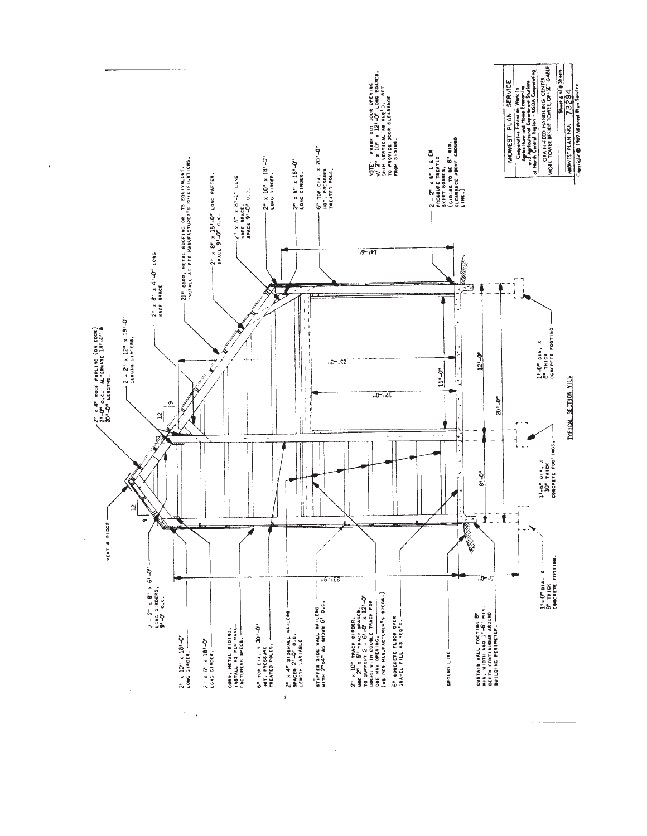![](_page_7_Figure_0.jpeg)

 $\frac{1}{\sqrt{2}}$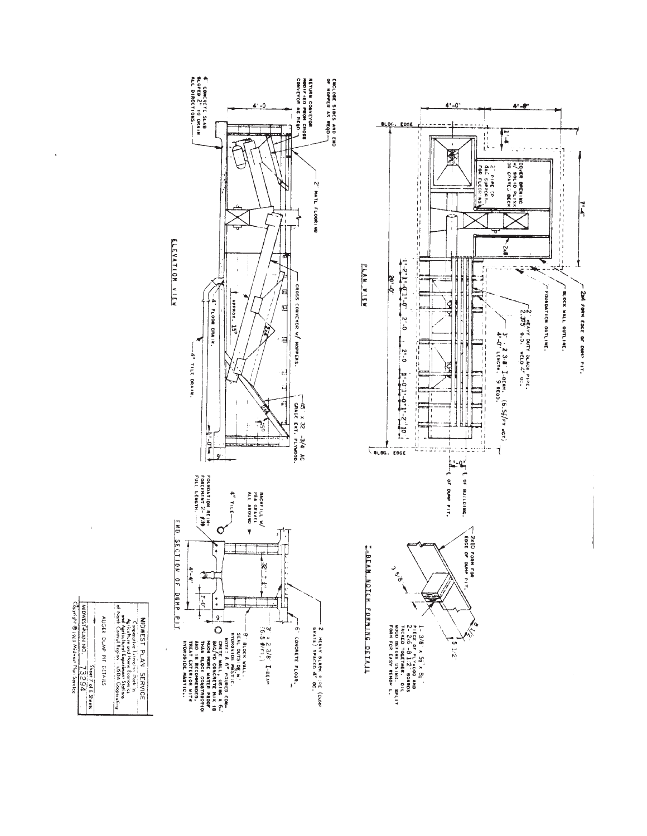![](_page_8_Figure_0.jpeg)

 $\bar{\mathbf{r}}$